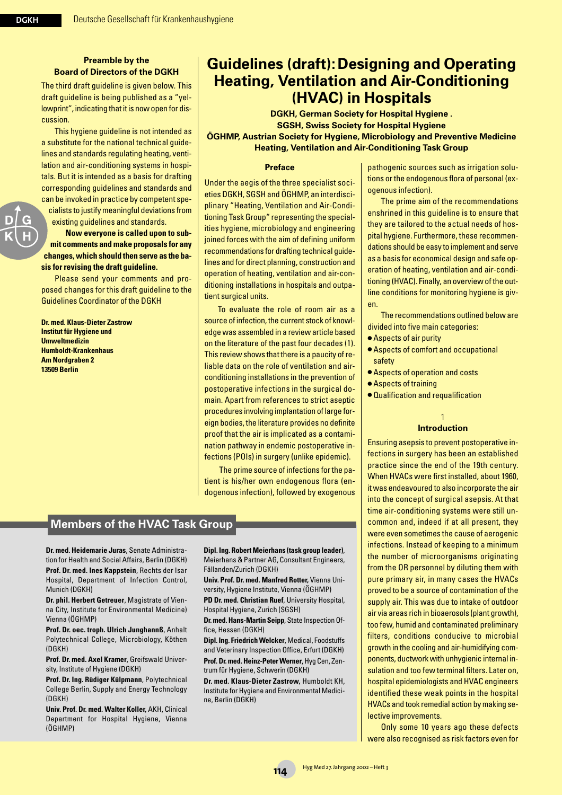### **Preamble by the Board of Directors of the DGKH**

The third draft guideline is given below. This draft guideline is being published as a "yellowprint", indicating that it is now open for discussion.

This hygiene guideline is not intended as a substitute for the national technical guidelines and standards regulating heating, ventilation and air-conditioning systems in hospitals. But it is intended as a basis for drafting corresponding guidelines and standards and can be invoked in practice by competent specialists to justify meaningful deviations from existing guidelines and standards.

**Now everyone is called upon to submit comments and make proposals for any changes, which should then serve as the basis for revising the draft guideline.** 

Please send your comments and proposed changes for this draft guideline to the Guidelines Coordinator of the DGKH

**Dr. med. Klaus-Dieter Zastrow Institut für Hygiene und Umweltmedizin Humboldt-Krankenhaus Am Nordgraben 2 13509 Berlin**

# **Guidelines (draft):Designing and Operating Heating, Ventilation and Air-Conditioning (HVAC) in Hospitals**

**DGKH, German Society for Hospital Hygiene . SGSH, Swiss Society for Hospital Hygiene ÖGHMP, Austrian Society for Hygiene, Microbiology and Preventive Medicine Heating, Ventilation and Air-Conditioning Task Group**

#### **Preface**

Under the aegis of the three specialist societies DGKH, SGSH and ÖGHMP, an interdisciplinary "Heating, Ventilation and Air-Conditioning Task Group" representing the specialities hygiene, microbiology and engineering joined forces with the aim of defining uniform recommendations for drafting technical guidelines and for direct planning, construction and operation of heating, ventilation and air-conditioning installations in hospitals and outpatient surgical units.

To evaluate the role of room air as a source of infection, the current stock of knowledge was assembled in a review article based on the literature of the past four decades (1). This review shows that there is a paucity of reliable data on the role of ventilation and airconditioning installations in the prevention of postoperative infections in the surgical domain. Apart from references to strict aseptic procedures involving implantation of large foreign bodies, the literature provides no definite proof that the air is implicated as a contamination pathway in endemic postoperative infections (POIs) in surgery (unlike epidemic).

The prime source of infections for the patient is his/her own endogenous flora (endogenous infection), followed by exogenous

# **Members of the HVAC Task Group**

**Dr. med. Heidemarie Juras**, Senate Administration for Health and Social Affairs, Berlin (DGKH) **Prof. Dr. med. Ines Kappstein**, Rechts der Isar Hospital, Department of Infection Control, Munich (DGKH)

**Dr. phil. Herbert Getreuer**, Magistrate of Vienna City, Institute for Environmental Medicine) Vienna (ÖGHMP)

**Prof. Dr. oec. troph. Ulrich Junghannß**, Anhalt Polytechnical College, Microbiology, Köthen (DGKH)

**Prof. Dr. med. Axel Kramer**, Greifswald University, Institute of Hygiene (DGKH)

**Prof. Dr. Ing. Rüdiger Külpmann**, Polytechnical College Berlin, Supply and Energy Technology (DGKH)

**Univ. Prof. Dr. med. Walter Koller,** AKH, Clinical Department for Hospital Hygiene, Vienna (ÖGHMP)

**Dipl. Ing. Robert Meierhans (task group leader)**, Meierhans & Partner AG, Consultant Engineers, Fällanden/Zurich (DGKH)

**Univ. Prof. Dr. med. Manfred Rotter,** Vienna University, Hygiene Institute, Vienna (ÖGHMP)

**PD Dr. med. Christian Ruef**, University Hospital, Hospital Hygiene, Zurich (SGSH)

**Dr. med. Hans-Martin Seipp**, State Inspection Office, Hessen (DGKH)

**Dipl. Ing. Friedrich Welcker**, Medical, Foodstuffs and Veterinary Inspection Office, Erfurt (DGKH) **Prof. Dr. med. Heinz-Peter Werner**, Hyg Cen, Zentrum für Hygiene, Schwerin (DGKH)

**Dr. med. Klaus-Dieter Zastrow,** Humboldt KH, Institute for Hygiene and Environmental Medicine, Berlin (DGKH)

pathogenic sources such as irrigation solutions or the endogenous flora of personal (exogenous infection).

The prime aim of the recommendations enshrined in this guideline is to ensure that they are tailored to the actual needs of hospital hygiene. Furthermore, these recommendations should be easy to implement and serve as a basis for economical design and safe operation of heating, ventilation and air-conditioning (HVAC). Finally, an overview of the outline conditions for monitoring hygiene is given.

The recommendations outlined below are divided into five main categories:

- Aspects of air purity
- Aspects of comfort and occupational safety
- Aspects of operation and costs
- Aspects of training
- Qualification and requalification

#### 1 **Introduction**

Ensuring asepsis to prevent postoperative infections in surgery has been an established practice since the end of the 19th century. When HVACs were first installed, about 1960, it was endeavoured to also incorporate the air into the concept of surgical asepsis. At that time air-conditioning systems were still uncommon and, indeed if at all present, they were even sometimes the cause of aerogenic infections. Instead of keeping to a minimum the number of microorganisms originating from the OR personnel by diluting them with pure primary air, in many cases the HVACs proved to be a source of contamination of the supply air. This was due to intake of outdoor air via areas rich in bioaerosols (plant growth), too few, humid and contaminated preliminary filters, conditions conducive to microbial growth in the cooling and air-humidifying components, ductwork with unhygienic internal insulation and too few terminal filters. Later on, hospital epidemiologists and HVAC engineers identified these weak points in the hospital HVACs and took remedial action by making selective improvements.

Only some 10 years ago these defects were also recognised as risk factors even for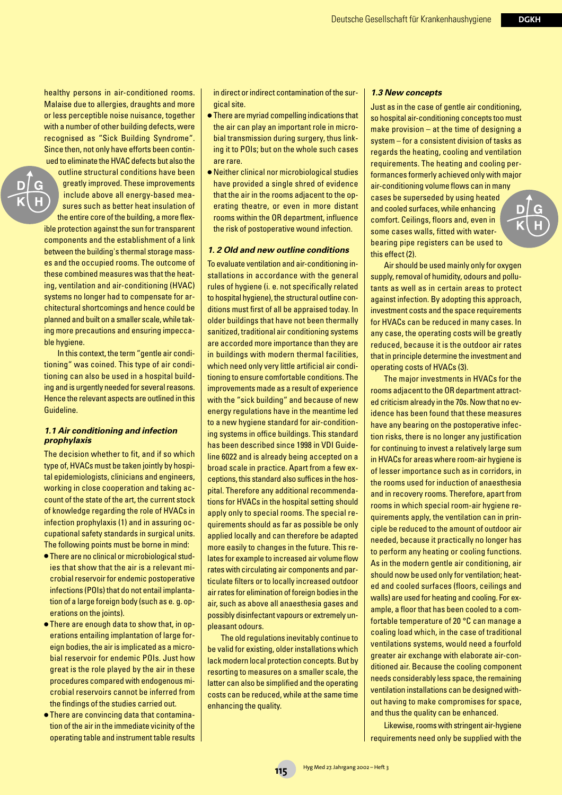healthy persons in air-conditioned rooms. Malaise due to allergies, draughts and more or less perceptible noise nuisance, together with a number of other building defects, were recognised as "Sick Building Syndrome". Since then, not only have efforts been continued to eliminate the HVAC defects but also the

outline structural conditions have been greatly improved. These improvements include above all energy-based measures such as better heat insulation of the entire core of the building, a more flexible protection against the sun for transparent components and the establishment of a link between the building's thermal storage masses and the occupied rooms. The outcome of these combined measures was that the heating, ventilation and air-conditioning (HVAC) systems no longer had to compensate for architectural shortcomings and hence could be planned and built on a smaller scale, while taking more precautions and ensuring impeccable hygiene.

In this context, the term "gentle air conditioning" was coined. This type of air conditioning can also be used in a hospital building and is urgently needed for several reasons. Hence the relevant aspects are outlined in this Guideline.

#### *1.1 Air conditioning and infection prophylaxis*

The decision whether to fit, and if so which type of, HVACs must be taken jointly by hospital epidemiologists, clinicians and engineers, working in close cooperation and taking account of the state of the art, the current stock of knowledge regarding the role of HVACs in infection prophylaxis (1) and in assuring occupational safety standards in surgical units. The following points must be borne in mind:

- There are no clinical or microbiological studies that show that the air is a relevant microbial reservoir for endemic postoperative infections (POIs) that do not entail implantation of a large foreign body (such as e. g. operations on the joints).
- There are enough data to show that, in operations entailing implantation of large foreign bodies, the air is implicated as a microbial reservoir for endemic POIs. Just how great is the role played by the air in these procedures compared with endogenous microbial reservoirs cannot be inferred from the findings of the studies carried out.
- There are convincing data that contamination of the air in the immediate vicinity of the operating table and instrument table results

in direct or indirect contamination of the surgical site.

- There are myriad compelling indications that the air can play an important role in microbial transmission during surgery, thus linking it to POIs; but on the whole such cases are rare.
- Neither clinical nor microbiological studies have provided a single shred of evidence that the air in the rooms adjacent to the operating theatre, or even in more distant rooms within the OR department, influence the risk of postoperative wound infection.

#### *1. 2 Old and new outline conditions*

To evaluate ventilation and air-conditioning installations in accordance with the general rules of hygiene (i. e. not specifically related to hospital hygiene), the structural outline conditions must first of all be appraised today. In older buildings that have not been thermally sanitized, traditional air conditioning systems are accorded more importance than they are in buildings with modern thermal facilities, which need only very little artificial air conditioning to ensure comfortable conditions. The improvements made as a result of experience with the "sick building" and because of new energy regulations have in the meantime led to a new hygiene standard for air-conditioning systems in office buildings. This standard has been described since 1998 in VDI Guideline 6022 and is already being accepted on a broad scale in practice. Apart from a few exceptions, this standard also suffices in the hospital. Therefore any additional recommendations for HVACs in the hospital setting should apply only to special rooms. The special requirements should as far as possible be only applied locally and can therefore be adapted more easily to changes in the future. This relates for example to increased air volume flow rates with circulating air components and particulate filters or to locally increased outdoor air rates for elimination of foreign bodies in the air, such as above all anaesthesia gases and possibly disinfectant vapours or extremely unpleasant odours.

The old regulations inevitably continue to be valid for existing, older installations which lack modern local protection concepts. But by resorting to measures on a smaller scale, the latter can also be simplified and the operating costs can be reduced, while at the same time enhancing the quality.

#### *1.3 New concepts*

Just as in the case of gentle air conditioning, so hospital air-conditioning concepts too must make provision – at the time of designing a system – for a consistent division of tasks as regards the heating, cooling and ventilation requirements. The heating and cooling performances formerly achieved only with major air-conditioning volume flows can in many cases be superseded by using heated and cooled surfaces, while enhancing comfort. Ceilings, floors and, even in some cases walls, fitted with waterbearing pipe registers can be used to this effect (2).

Air should be used mainly only for oxygen supply, removal of humidity, odours and pollutants as well as in certain areas to protect against infection. By adopting this approach, investment costs and the space requirements for HVACs can be reduced in many cases. In any case, the operating costs will be greatly reduced, because it is the outdoor air rates that in principle determine the investment and operating costs of HVACs (3).

The major investments in HVACs for the rooms adjacent to the OR department attracted criticism already in the 70s. Now that no evidence has been found that these measures have any bearing on the postoperative infection risks, there is no longer any justification for continuing to invest a relatively large sum in HVACs for areas where room-air hygiene is of lesser importance such as in corridors, in the rooms used for induction of anaesthesia and in recovery rooms. Therefore, apart from rooms in which special room-air hygiene requirements apply, the ventilation can in principle be reduced to the amount of outdoor air needed, because it practically no longer has to perform any heating or cooling functions. As in the modern gentle air conditioning, air should now be used only for ventilation; heated and cooled surfaces (floors, ceilings and walls) are used for heating and cooling. For example, a floor that has been cooled to a comfortable temperature of 20 °C can manage a coaling load which, in the case of traditional ventilations systems, would need a fourfold greater air exchange with elaborate air-conditioned air. Because the cooling component needs considerably less space, the remaining ventilation installations can be designed without having to make compromises for space, and thus the quality can be enhanced.

Likewise, rooms with stringent air-hygiene requirements need only be supplied with the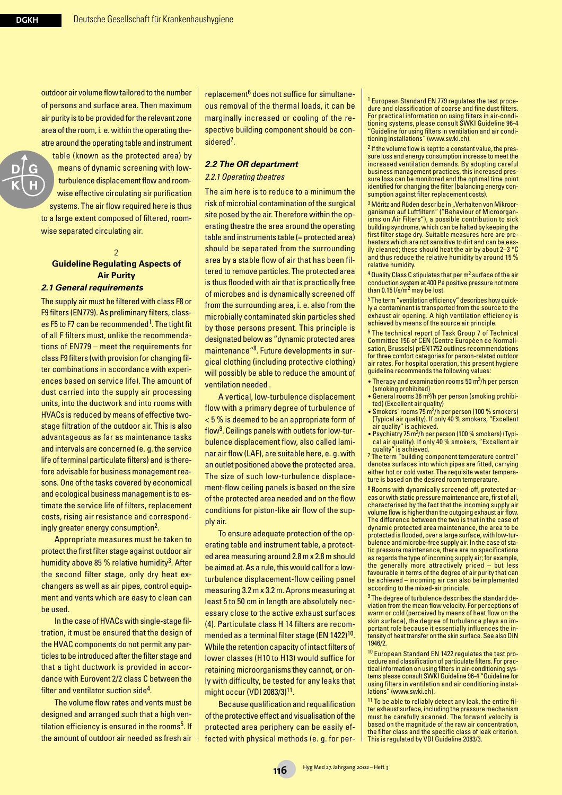outdoor air volume flow tailored to the number of persons and surface area. Then maximum air purity is to be provided for the relevant zone area of the room, i. e. within the operating theatre around the operating table and instrument

table (known as the protected area) by means of dynamic screening with lowturbulence displacement flow and roomwise effective circulating air purification systems. The air flow required here is thus to a large extent composed of filtered, roomwise separated circulating air.

#### 2 **Guideline Regulating Aspects of Air Purity**  *2.1 General requirements*

The supply air must be filtered with class F8 or F9 filters (EN779). As preliminary filters, classes F5 to F7 can be recommended<sup>1</sup>. The tight fit of all F filters must, unlike the recommendations of EN779 – meet the requirements for class F9 filters (with provision for changing filter combinations in accordance with experiences based on service life). The amount of dust carried into the supply air processing units, into the ductwork and into rooms with HVACs is reduced by means of effective twostage filtration of the outdoor air. This is also advantageous as far as maintenance tasks and intervals are concerned (e. g. the service life of terminal particulate filters) and is therefore advisable for business management reasons. One of the tasks covered by economical and ecological business management is to estimate the service life of filters, replacement costs, rising air resistance and correspondingly greater energy consumption2.

Appropriate measures must be taken to protect the first filter stage against outdoor air humidity above 85 % relative humidity<sup>3</sup>. After the second filter stage, only dry heat exchangers as well as air pipes, control equipment and vents which are easy to clean can be used.

In the case of HVACs with single-stage filtration, it must be ensured that the design of the HVAC components do not permit any particles to be introduced after the filter stage and that a tight ductwork is provided in accordance with Eurovent 2/2 class C between the filter and ventilator suction side<sup>4</sup>.

The volume flow rates and vents must be designed and arranged such that a high ventilation efficiency is ensured in the rooms<sup>5</sup>. If the amount of outdoor air needed as fresh air replacement<sup>6</sup> does not suffice for simultaneous removal of the thermal loads, it can be marginally increased or cooling of the respective building component should be considered<sup>7</sup>.

# *2.2 The OR department*

#### *2.2.1 Operating theatres*

The aim here is to reduce to a minimum the risk of microbial contamination of the surgical site posed by the air. Therefore within the operating theatre the area around the operating table and instruments table (= protected area) should be separated from the surrounding area by a stable flow of air that has been filtered to remove particles. The protected area is thus flooded with air that is practically free of microbes and is dynamically screened off from the surrounding area, i. e. also from the microbially contaminated skin particles shed by those persons present. This principle is designated below as "dynamic protected area maintenance"8. Future developments in surgical clothing (including protective clothing) will possibly be able to reduce the amount of ventilation needed .

A vertical, low-turbulence displacement flow with a primary degree of turbulence of < 5 % is deemed to be an appropriate form of flow9. Ceilings panels with outlets for low-turbulence displacement flow, also called laminar air flow (LAF), are suitable here, e. g. with an outlet positioned above the protected area. The size of such low-turbulence displacement-flow ceiling panels is based on the size of the protected area needed and on the flow conditions for piston-like air flow of the supply air.

To ensure adequate protection of the operating table and instrument table, a protected area measuring around 2.8 m x 2.8 m should be aimed at. As a rule, this would call for a lowturbulence displacement-flow ceiling panel measuring 3.2 m x 3.2 m. Aprons measuring at least 5 to 50 cm in length are absolutely necessary close to the active exhaust surfaces (4). Particulate class H 14 filters are recommended as a terminal filter stage (EN 1422)<sup>10</sup>. While the retention capacity of intact filters of lower classes (H10 to H13) would suffice for retaining microorganisms they cannot, or only with difficulty, be tested for any leaks that might occur (VDI 2083/3)11.

Because qualification and requalification of the protective effect and visualisation of the protected area periphery can be easily effected with physical methods (e. g. for per<sup>1</sup> European Standard EN 779 regulates the test procedure and classification of coarse and fine dust filters. For practical information on using filters in air-conditioning systems, please consult SWKI Guideline 96-4 "Guideline for using filters in ventilation and air conditioning installations" (www.swki.ch).

<sup>2</sup> If the volume flow is kept to a constant value, the pressure loss and energy consumption increase to meet the increased ventilation demands. By adopting careful business management practices, this increased pressure loss can be monitored and the optimal time point identified for changing the filter (balancing energy consumption against filter replacement costs).

<sup>3</sup> Möritz and Rüden describe in "Verhalten von Mikroorganismen auf Luftfiltern" ("Behaviour of Microorganisms on Air Filters"), a possible contribution to sick building syndrome, which can be halted by keeping the first filter stage dry. Suitable measures here are preheaters which are not sensitive to dirt and can be easily cleaned; these should heat the air by about 2–3 °C and thus reduce the relative humidity by around 15 % relative humidity.

<sup>4</sup> Quality Class C stipulates that per m2 surface of the air conduction system at 400 Pa positive pressure not more than 0.15 l/s/m2 may be lost.

<sup>5</sup> The term "ventilation efficiency" describes how quickly a contaminant is transported from the source to the exhaust air opening. A high ventilation efficiency is achieved by means of the source air principle.

<sup>6</sup> The technical report of Task Group 7 of Technical Committee 156 of CEN (Centre Européen de Normalisation, Brussels) prEN1752 outlines recommendations for three comfort categories for person-related outdoor air rates. For hospital operation, this present hygiene guideline recommends the following values:

- Therapy and examination rooms 50 m<sup>3</sup>/h per person (smoking prohibited)
- General rooms 36 m3/h per person (smoking prohibited) (Excellent air quality)
- Smokers' rooms  $75 \text{ m}^3\text{/h}$  per person (100 % smokers) (Typical air quality). If only 40 % smokers, "Excellent air quality" is achieved.
- Psychiatry 75 m<sup>3</sup>/h per person (100 % smokers) (Typical air quality). If only 40 % smokers, "Excellent air quality" is achieved.

<sup>7</sup> The term "building component temperature control" denotes surfaces into which pipes are fitted, carrying either hot or cold water. The requisite water temperature is based on the desired room temperature.

<sup>8</sup> Rooms with dynamically screened-off, protected areas or with static pressure maintenance are, first of all, characterised by the fact that the incoming supply air volume flow is higher than the outgoing exhaust air flow. The difference between the two is that in the case of dynamic protected area maintenance, the area to be protected is flooded, over a large surface, with low-turbulence and microbe-free supply air. In the case of static pressure maintenance, there are no specifications as regards the type of incoming supply air; for example, the generally more attractively priced – but less favourable in terms of the degree of air purity that can be achieved – incoming air can also be implemented according to the mixed-air principle.

<sup>9</sup> The degree of turbulence describes the standard deviation from the mean flow velocity. For perceptions of warm or cold (perceived by means of heat flow on the skin surface), the degree of turbulence plays an important role because it essentially influences the intensity of heat transfer on the skin surface. See also DIN 1946/2.

<sup>10</sup> European Standard EN 1422 regulates the test procedure and classification of particulate filters. For practical information on using filters in air-conditioning systems please consult SWKI Guideline 96-4 "Guideline for using filters in ventilation and air conditioning installations" (www.swki.ch).

<sup>11</sup> To be able to reliably detect any leak, the entire filter exhaust surface, including the pressure mechanism must be carefully scanned. The forward velocity is based on the magnitude of the raw air concentration, the filter class and the specific class of leak criterion. This is regulated by VDI Guideline 2083/3.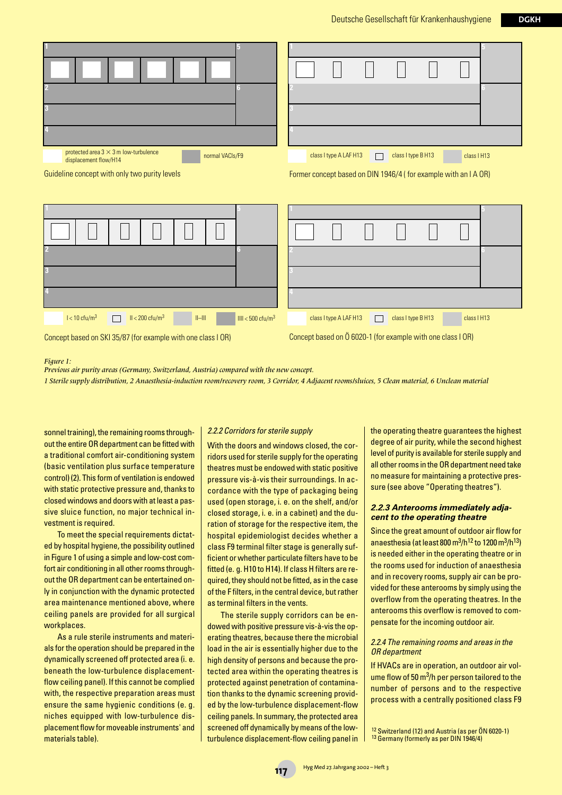| protected area $3 \times 3$ m low-turbulence<br>normal VACIs/F9<br>displacement flow/H14<br>Guideline concept with only two purity levels | class I type B H13<br>class I type A LAF H13<br>class I H13<br>$\Box$<br>Former concept based on DIN 1946/4 (for example with an I A OR) |
|-------------------------------------------------------------------------------------------------------------------------------------------|------------------------------------------------------------------------------------------------------------------------------------------|
|                                                                                                                                           |                                                                                                                                          |
|                                                                                                                                           |                                                                                                                                          |
| $l < 10$ cfu/m <sup>3</sup><br>$II < 200 \text{ c}$ fu/m <sup>3</sup><br>$  -   $<br>$III < 500 \text{ cft/m}^3$                          | class I type A LAF H13<br>class I type B H13<br>class I H13<br>erialisti<br>Valiti                                                       |

Concept based on SKI 35/87 (for example with one class I OR)

Concept based on Ö 6020-1 (for example with one class I OR)

*Figure 1:* 

*Previous air purity areas (Germany, Switzerland, Austria) compared with the new concept. 1 Sterile supply distribution, 2 Anaesthesia-induction room/recovery room, 3 Corridor, 4 Adjacent rooms/sluices, 5 Clean material, 6 Unclean material*

sonnel training), the remaining rooms throughout the entire OR department can be fitted with a traditional comfort air-conditioning system (basic ventilation plus surface temperature control) (2). This form of ventilation is endowed with static protective pressure and, thanks to closed windows and doors with at least a passive sluice function, no major technical investment is required.

To meet the special requirements dictated by hospital hygiene, the possibility outlined in Figure 1 of using a simple and low-cost comfort air conditioning in all other rooms throughout the OR department can be entertained only in conjunction with the dynamic protected area maintenance mentioned above, where ceiling panels are provided for all surgical workplaces.

As a rule sterile instruments and materials for the operation should be prepared in the dynamically screened off protected area (i. e. beneath the low-turbulence displacementflow ceiling panel). If this cannot be complied with, the respective preparation areas must ensure the same hygienic conditions (e. g. niches equipped with low-turbulence displacement flow for moveable instruments' and materials table).

#### *2.2.2 Corridors for sterile supply*

With the doors and windows closed, the corridors used for sterile supply for the operating theatres must be endowed with static positive pressure vis-à-vis their surroundings. In accordance with the type of packaging being used (open storage, i. e. on the shelf, and/or closed storage, i. e. in a cabinet) and the duration of storage for the respective item, the hospital epidemiologist decides whether a class F9 terminal filter stage is generally sufficient or whether particulate filters have to be fitted (e. g. H10 to H14). If class H filters are required, they should not be fitted, as in the case of the F filters, in the central device, but rather as terminal filters in the vents.

The sterile supply corridors can be endowed with positive pressure vis-à-vis the operating theatres, because there the microbial load in the air is essentially higher due to the high density of persons and because the protected area within the operating theatres is protected against penetration of contamination thanks to the dynamic screening provided by the low-turbulence displacement-flow ceiling panels. In summary, the protected area screened off dynamically by means of the lowturbulence displacement-flow ceiling panel in

the operating theatre guarantees the highest degree of air purity, while the second highest level of purity is available for sterile supply and all other rooms in the OR department need take no measure for maintaining a protective pressure (see above "Operating theatres").

#### *2.2.3 Anterooms immediately adjacent to the operating theatre*

Since the great amount of outdoor air flow for anaesthesia (at least 800 m $^{3}/h^{12}$  to 1200 m $^{3}/h^{13}$ ) is needed either in the operating theatre or in the rooms used for induction of anaesthesia and in recovery rooms, supply air can be provided for these anterooms by simply using the overflow from the operating theatres. In the anterooms this overflow is removed to compensate for the incoming outdoor air.

#### *2.2.4 The remaining rooms and areas in the OR department*

If HVACs are in operation, an outdoor air volume flow of 50  $\mathrm{m}^3$ /h per person tailored to the number of persons and to the respective process with a centrally positioned class F9

<sup>&</sup>lt;sup>12</sup> Switzerland (12) and Austria (as per ÖN 6020-1)<br><sup>13</sup> Germany (formerly as per DIN 1946/4)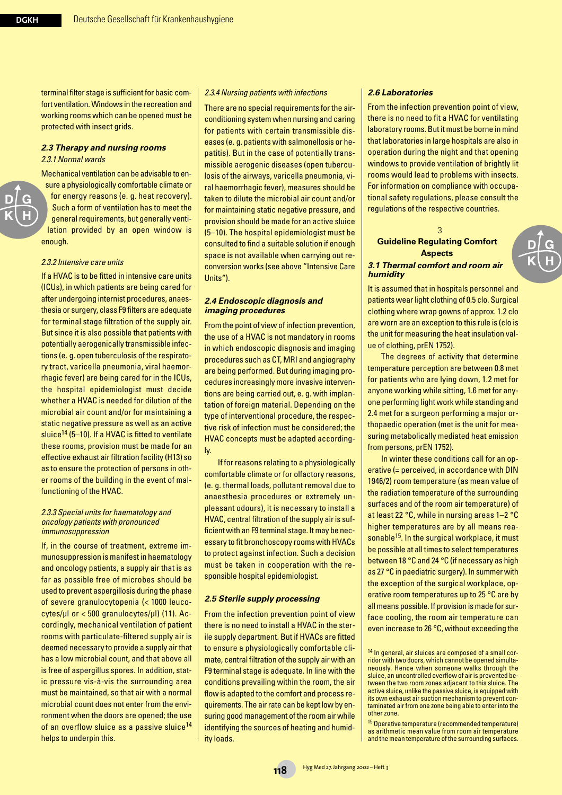terminal filter stage is sufficient for basic comfort ventilation. Windows in the recreation and working rooms which can be opened must be protected with insect grids.

#### *2.3 Therapy and nursing rooms 2.3.1 Normal wards*

Mechanical ventilation can be advisable to ensure a physiologically comfortable climate or for energy reasons (e. g. heat recovery). Such a form of ventilation has to meet the general requirements, but generally ventilation provided by an open window is enough.

#### *2.3.2 Intensive care units*

If a HVAC is to be fitted in intensive care units (ICUs), in which patients are being cared for after undergoing internist procedures, anaesthesia or surgery, class F9 filters are adequate for terminal stage filtration of the supply air. But since it is also possible that patients with potentially aerogenically transmissible infections (e. g. open tuberculosis of the respiratory tract, varicella pneumonia, viral haemorrhagic fever) are being cared for in the ICUs, the hospital epidemiologist must decide whether a HVAC is needed for dilution of the microbial air count and/or for maintaining a static negative pressure as well as an active sluice<sup>14</sup> (5–10). If a HVAC is fitted to ventilate these rooms, provision must be made for an effective exhaust air filtration facility (H13) so as to ensure the protection of persons in other rooms of the building in the event of malfunctioning of the HVAC.

#### *2.3.3 Special units for haematology and oncology patients with pronounced immunosuppression*

If, in the course of treatment, extreme immunosuppression is manifest in haematology and oncology patients, a supply air that is as far as possible free of microbes should be used to prevent aspergillosis during the phase of severe granulocytopenia (< 1000 leucocytes/µl or < 500 granulocytes/µl) (11). Accordingly, mechanical ventilation of patient rooms with particulate-filtered supply air is deemed necessary to provide a supply air that has a low microbial count, and that above all is free of aspergillus spores. In addition, static pressure vis-à-vis the surrounding area must be maintained, so that air with a normal microbial count does not enter from the environment when the doors are opened; the use of an overflow sluice as a passive sluice<sup>14</sup> helps to underpin this.

#### *2.3.4 Nursing patients with infections*

There are no special requirements for the airconditioning system when nursing and caring for patients with certain transmissible diseases (e. g. patients with salmonellosis or hepatitis). But in the case of potentially transmissible aerogenic diseases (open tuberculosis of the airways, varicella pneumonia, viral haemorrhagic fever), measures should be taken to dilute the microbial air count and/or for maintaining static negative pressure, and provision should be made for an active sluice (5–10). The hospital epidemiologist must be consulted to find a suitable solution if enough space is not available when carrying out reconversion works (see above "Intensive Care Units").

#### *2.4 Endoscopic diagnosis and imaging procedures*

From the point of view of infection prevention, the use of a HVAC is not mandatory in rooms in which endoscopic diagnosis and imaging procedures such as CT, MRI and angiography are being performed. But during imaging procedures increasingly more invasive interventions are being carried out, e. g. with implantation of foreign material. Depending on the type of interventional procedure, the respective risk of infection must be considered; the HVAC concepts must be adapted accordingly.

If for reasons relating to a physiologically comfortable climate or for olfactory reasons, (e. g. thermal loads, pollutant removal due to anaesthesia procedures or extremely unpleasant odours), it is necessary to install a HVAC, central filtration of the supply air is sufficient with an F9 terminal stage. It may be necessary to fit bronchoscopy rooms with HVACs to protect against infection. Such a decision must be taken in cooperation with the responsible hospital epidemiologist.

#### *2.5 Sterile supply processing*

From the infection prevention point of view there is no need to install a HVAC in the sterile supply department. But if HVACs are fitted to ensure a physiologically comfortable climate, central filtration of the supply air with an F9 terminal stage is adequate. In line with the conditions prevailing within the room, the air flow is adapted to the comfort and process requirements. The air rate can be kept low by ensuring good management of the room air while identifying the sources of heating and humidity loads.

#### *2.6 Laboratories*

*humidity* 

From the infection prevention point of view, there is no need to fit a HVAC for ventilating laboratory rooms. But it must be borne in mind that laboratories in large hospitals are also in operation during the night and that opening windows to provide ventilation of brightly lit rooms would lead to problems with insects. For information on compliance with occupational safety regulations, please consult the regulations of the respective countries.

#### **Guideline Regulating Comfort Aspects**  *3.1 Thermal comfort and room air*

3

It is assumed that in hospitals personnel and patients wear light clothing of 0.5 clo. Surgical clothing where wrap gowns of approx. 1.2 clo are worn are an exception to this rule is (clo is the unit for measuring the heat insulation value of clothing, prEN 1752).

The degrees of activity that determine temperature perception are between 0.8 met for patients who are lying down, 1.2 met for anyone working while sitting, 1.6 met for anyone performing light work while standing and 2.4 met for a surgeon performing a major orthopaedic operation (met is the unit for measuring metabolically mediated heat emission from persons, prEN 1752).

In winter these conditions call for an operative (= perceived, in accordance with DIN 1946/2) room temperature (as mean value of the radiation temperature of the surrounding surfaces and of the room air temperature) of at least 22 °C, while in nursing areas 1–2 °C higher temperatures are by all means reasonable<sup>15</sup>. In the surgical workplace, it must be possible at all times to select temperatures between 18 °C and 24 °C (if necessary as high as 27 °C in paediatric surgery). In summer with the exception of the surgical workplace, operative room temperatures up to 25 °C are by all means possible. If provision is made for surface cooling, the room air temperature can even increase to 26 °C, without exceeding the

<sup>14</sup> In general, air sluices are composed of a small corridor with two doors, which cannot be opened simultaneously. Hence when someone walks through the sluice, an uncontrolled overflow of air is prevented between the two room zones adjacent to this sluice. The active sluice, unlike the passive sluice, is equipped with its own exhaust air suction mechanism to prevent contaminated air from one zone being able to enter into the other zone.

<sup>15</sup> Operative temperature (recommended temperature) as arithmetic mean value from room air temperature and the mean temperature of the surrounding surfaces.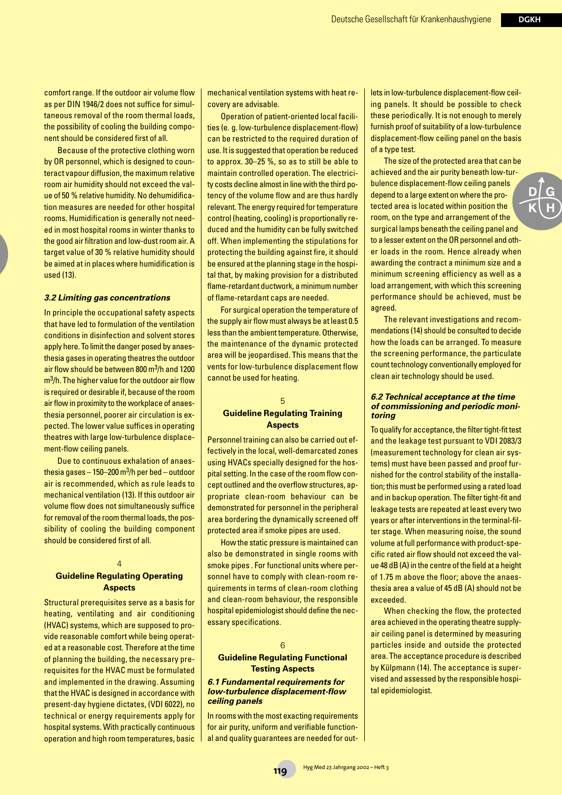comfort range. If the outdoor air volume flow as per DIN 1946/2 does not suffice for simultaneous removal of the room thermal loads, the possibility of cooling the building component should be considered first of all.

Because of the protective clothing worn by OR personnel, which is designed to counteract vapour diffusion, the maximum relative room air humidity should not exceed the value of 50 % relative humidity. No dehumidification measures are needed for other hospital rooms. Humidification is generally not needed in most hospital rooms in winter thanks to the good air filtration and low-dust room air. A target value of 30 % relative humidity should be aimed at in places where humidification is used (13).

#### *3.2 Limiting gas concentrations*

In principle the occupational safety aspects that have led to formulation of the ventilation conditions in disinfection and solvent stores apply here. To limit the danger posed by anaesthesia gases in operating theatres the outdoor air flow should be between 800 m<sup>3</sup>/h and 1200  $m<sup>3</sup>/h$ . The higher value for the outdoor air flow is required or desirable if, because of the room air flow in proximity to the workplace of anaesthesia personnel, poorer air circulation is expected. The lower value suffices in operating theatres with large low-turbulence displacement-flow ceiling panels.

Due to continuous exhalation of anaesthesia gases – 150–200 m<sup>3</sup>/h per bed – outdoor air is recommended, which as rule leads to mechanical ventilation (13). If this outdoor air volume flow does not simultaneously suffice for removal of the room thermal loads, the possibility of cooling the building component should be considered first of all.

# $\overline{A}$

### **Guideline Regulating Operating Aspects**

Structural prerequisites serve as a basis for heating, ventilating and air conditioning (HVAC) systems, which are supposed to provide reasonable comfort while being operated at a reasonable cost. Therefore at the time of planning the building, the necessary prerequisites for the HVAC must be formulated and implemented in the drawing. Assuming that the HVAC is designed in accordance with present-day hygiene dictates, (VDI 6022), no technical or energy requirements apply for hospital systems. With practically continuous operation and high room temperatures, basic

mechanical ventilation systems with heat recovery are advisable.

Operation of patient-oriented local facilities (e. g. low-turbulence displacement-flow) can be restricted to the required duration of use. It is suggested that operation be reduced to approx. 30–25 %, so as to still be able to maintain controlled operation. The electricity costs decline almost in line with the third potency of the volume flow and are thus hardly relevant. The energy required for temperature control (heating, cooling) is proportionally reduced and the humidity can be fully switched off. When implementing the stipulations for protecting the building against fire, it should be ensured at the planning stage in the hospital that, by making provision for a distributed flame-retardant ductwork, a minimum number of flame-retardant caps are needed.

For surgical operation the temperature of the supply air flow must always be at least 0.5 less than the ambient temperature. Otherwise, the maintenance of the dynamic protected area will be jeopardised. This means that the vents for low-turbulence displacement flow cannot be used for heating.

#### 5

#### **Guideline Regulating Training Aspects**

Personnel training can also be carried out effectively in the local, well-demarcated zones using HVACs specially designed for the hospital setting. In the case of the room flow concept outlined and the overflow structures, appropriate clean-room behaviour can be demonstrated for personnel in the peripheral area bordering the dynamically screened off protected area if smoke pipes are used.

How the static pressure is maintained can also be demonstrated in single rooms with smoke pipes . For functional units where personnel have to comply with clean-room requirements in terms of clean-room clothing and clean-room behaviour, the responsible hospital epidemiologist should define the necessary specifications.

#### 6

#### **Guideline Regulating Functional Testing Aspects**

#### *6.1 Fundamental requirements for low-turbulence displacement-flow ceiling panels*

In rooms with the most exacting requirements for air purity, uniform and verifiable functional and quality guarantees are needed for outlets in low-turbulence displacement-flow ceiling panels. It should be possible to check these periodically. It is not enough to merely furnish proof of suitability of a low-turbulence displacement-flow ceiling panel on the basis of a type test.

The size of the protected area that can be achieved and the air purity beneath low-turbulence displacement-flow ceiling panels depend to a large extent on where the protected area is located within position the room, on the type and arrangement of the surgical lamps beneath the ceiling panel and to a lesser extent on the OR personnel and other loads in the room. Hence already when awarding the contract a minimum size and a minimum screening efficiency as well as a load arrangement, with which this screening performance should be achieved, must be agreed.

The relevant investigations and recommendations (14) should be consulted to decide how the loads can be arranged. To measure the screening performance, the particulate count technology conventionally employed for clean air technology should be used.

#### *6.2 Technical acceptance at the time of commissioning and periodic monitoring*

To qualify for acceptance, the filter tight-fit test and the leakage test pursuant to VDI 2083/3 (measurement technology for clean air systems) must have been passed and proof furnished for the control stability of the installation; this must be performed using a rated load and in backup operation. The filter tight-fit and leakage tests are repeated at least every two years or after interventions in the terminal-filter stage. When measuring noise, the sound volume at full performance with product-specific rated air flow should not exceed the value 48 dB (A) in the centre of the field at a height of 1.75 m above the floor; above the anaesthesia area a value of 45 dB (A) should not be exceeded.

When checking the flow, the protected area achieved in the operating theatre supplyair ceiling panel is determined by measuring particles inside and outside the protected area. The acceptance procedure is described by Külpmann (14). The acceptance is supervised and assessed by the responsible hospital epidemiologist.